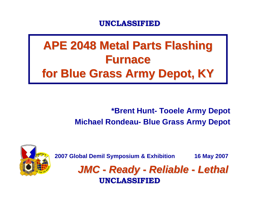# **APE 2048 Metal Parts Flashing Furnace Furnacefor Blue Grass Army Depot, KY for Blue Grass Army Depot, KY**

### **\*Brent Hunt- Tooele Army Depot Michael Rondeau- Blue Grass Army Depot**



**2007 Global Demil Symposium & Exhibition 16 May 2007**

*JMC - Ready - Reliable - Lethal* **UNCLASSIFIED UNCLASSIFIED**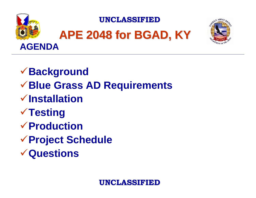





<sup>9</sup>**Background** <sup>9</sup>**Blue Grass AD Requirements** 9**Installation√Testing** 9**Production**<sup>9</sup>**Project Schedule** 9**Questions**

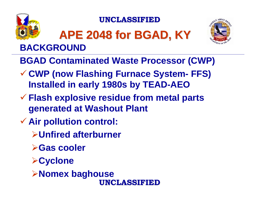

# **APE 2048 for BGAD, KY APE 2048 for BGAD, KY BACKGROUND**



- **BGAD Contaminated Waste Processor (CWP)**
- 9 **CWP (now Flashing Furnace System- FFS) Installed in early 1980s by TEAD-AEO**
- 9 **Flash explosive residue from metal parts generated at Washout Plant**
- 9 **Air pollution control:**
	- ¾**Unfired afterburner**
	- ¾**Gas cooler**
	- ¾**Cyclone**
	- **UNCLASSIFIED UNCLASSIFIED**¾**Nomex baghouse**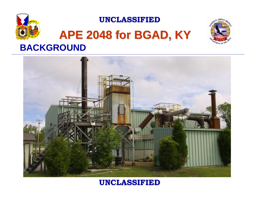

## **APE 2048 for BGAD, KY APE 2048 for BGAD, KY BACKGROUND**



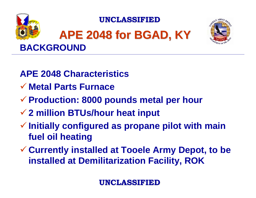

# **APE 2048 for BGAD, KY APE 2048 for BGAD, KY BACKGROUND**



- **APE 2048 Characteristics**
- 9 **Metal Parts Furnace**
- 9 **Production: 8000 pounds metal per hour**
- 9 **2 million BTUs/hour heat input**
- 9 **Initially configured as propane pilot with main fuel oil heating**
- 9 **Currently installed at Tooele Army Depot, to be installed at Demilitarization Facility, ROK**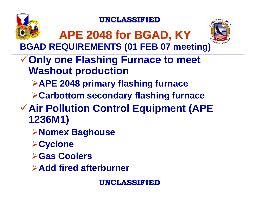



**APE 2048 for BGAD, KY APE 2048 for BGAD, KY BGAD REQUIREMENTS (01 FEB 07 meeting)**

- **√ Only one Flashing Furnace to meet Washout production**
	- ¾**APE 2048 primary flashing furnace**
	- ¾**Carbottom secondary flashing furnace**
- <sup>9</sup>**Air Pollution Control Equipment (APE 1236M1)**
	- ¾**Nomex Baghouse**
	- ¾**Cyclone**
	- ¾**Gas Coolers**
	- ¾**Add fired afterburner**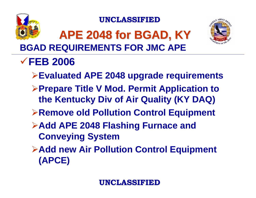

## **APE 2048 for BGAD, KY APE 2048 for BGAD, KY BGAD REQUIREMENTS FOR JMC APE**



### 9**FEB 2006**

- ¾**Evaluated APE 2048 upgrade requirements**
- ¾**Prepare Title V Mod. Permit Application to the Kentucky Div of Air Quality (KY DAQ)**
- ¾**Remove old Pollution Control Equipment**
- ¾**Add APE 2048 Flashing Furnace and Conveying System**
- ¾**Add new Air Pollution Control Equipment (APCE)**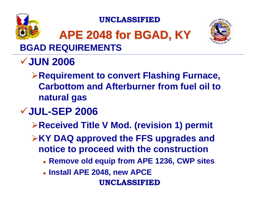

# **APE 2048 for BGAD, KY APE 2048 for BGAD, KY BGAD REQUIREMENTS**



# 9**JUN 2006**

¾**Requirement to convert Flashing Furnace, Carbottom and Afterburner from fuel oil to natural gas**

### 9**JUL-SEP 2006**

¾**Received Title V Mod. (revision 1) permit**

¾**KY DAQ approved the FFS upgrades and notice to proceed with the construction** 

- z **Remove old equip from APE 1236, CWP sites**
- z **Install APE 2048, new APCE**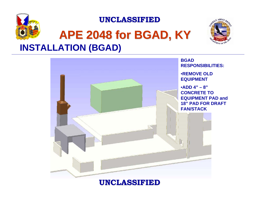

## **APE 2048 for BGAD, KY APE 2048 for BGAD, KY INSTALLATION (BGAD)**



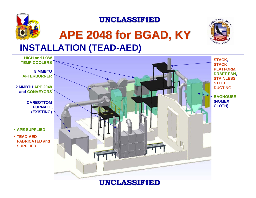



## **APE 2048 for BGAD, KY APE 2048 for BGAD, KY INSTALLATION (TEAD-AED)**

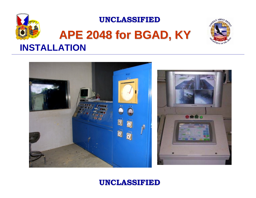

## **APE 2048 for BGAD, KY APE 2048 for BGAD, KY INSTALLATION**



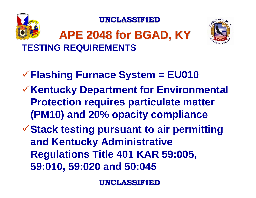



# **APE 2048 for BGAD, KY APE 2048 for BGAD, KY TESTING REQUIREMENTS**

- <sup>9</sup>**Flashing Furnace System = EU010**
- <sup>9</sup>**Kentucky Department for Environmental Protection requires particulate matter (PM10) and 20% opacity compliance**
- **√Stack testing pursuant to air permitting and Kentucky Administrative Regulations Title 401 KAR 59:005, 59:010, 59:020 and 50:045**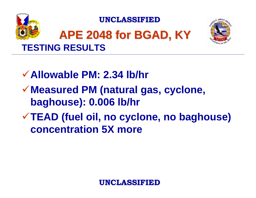

## **APE 2048 for BGAD, KY APE 2048 for BGAD, KY TESTING RESULTS**



9**Allowable PM: 2.34 lb/hr** <sup>9</sup>**Measured PM (natural gas, cyclone, baghouse): 0.006 lb/hr** <sup>9</sup>**TEAD (fuel oil, no cyclone, no baghouse) concentration 5X more**

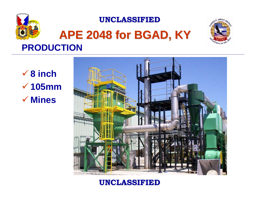

# **APE 2048 for BGAD, KY APE 2048 for BGAD, KY PRODUCTION**



9 **8 inch** 9 **105mm**9 **Mines**

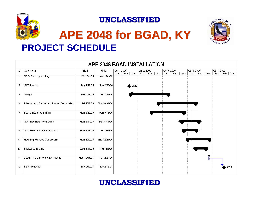

## **APE 2048 for BGAD, KY APE 2048 for BGAD, KY PROJECT SCHEDULE**